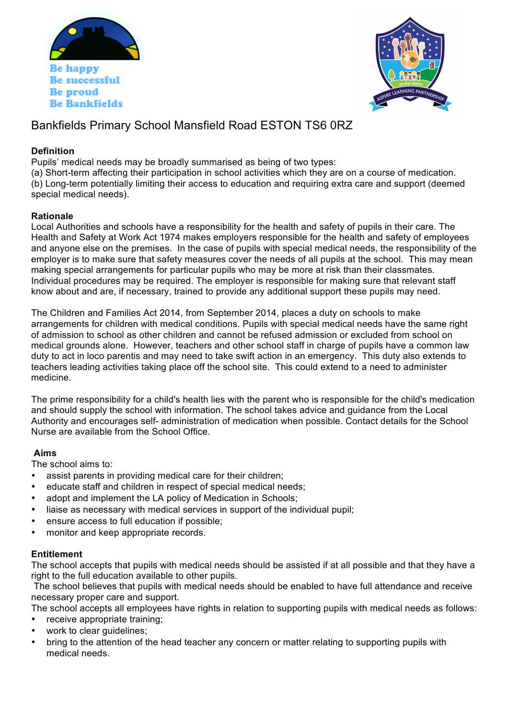

**Be Bankfields** 



# Bankfields Primary School Mansfield Road ESTON TS6 0RZ

## **Definition**

Pupils' medical needs may be broadly summarised as being of two types:

(a) Short-term affecting their participation in school activities which they are on a course of medication. (b) Long-term potentially limiting their access to education and requiring extra care and support (deemed special medical needs).

# **Rationale**

Local Authorities and schools have a responsibility for the health and safety of pupils in their care. The Health and Safety at Work Act 1974 makes employers responsible for the health and safety of employees and anyone else on the premises. In the case of pupils with special medical needs, the responsibility of the employer is to make sure that safety measures cover the needs of all pupils at the school. This may mean making special arrangements for particular pupils who may be more at risk than their classmates. Individual procedures may be required. The employer is responsible for making sure that relevant staff know about and are, if necessary, trained to provide any additional support these pupils may need.

The Children and Families Act 2014, from September 2014, places a duty on schools to make arrangements for children with medical conditions. Pupils with special medical needs have the same right of admission to school as other children and cannot be refused admission or excluded from school on medical grounds alone. However, teachers and other school staff in charge of pupils have a common law duty to act in loco parentis and may need to take swift action in an emergency. This duty also extends to teachers leading activities taking place off the school site. This could extend to a need to administer medicine.

The prime responsibility for a child's health lies with the parent who is responsible for the child's medication and should supply the school with information. The school takes advice and guidance from the Local Authority and encourages self- administration of medication when possible. Contact details for the School Nurse are available from the School Office.

# **Aims**

The school aims to:

- assist parents in providing medical care for their children;
- educate staff and children in respect of special medical needs;
- adopt and implement the LA policy of Medication in Schools;
- liaise as necessary with medical services in support of the individual pupil;
- ensure access to full education if possible;
- monitor and keep appropriate records.

### **Entitlement**

The school accepts that pupils with medical needs should be assisted if at all possible and that they have a right to the full education available to other pupils.

The school believes that pupils with medical needs should be enabled to have full attendance and receive necessary proper care and support.

The school accepts all employees have rights in relation to supporting pupils with medical needs as follows:

- receive appropriate training;
- work to clear quidelines;
- bring to the attention of the head teacher any concern or matter relating to supporting pupils with medical needs.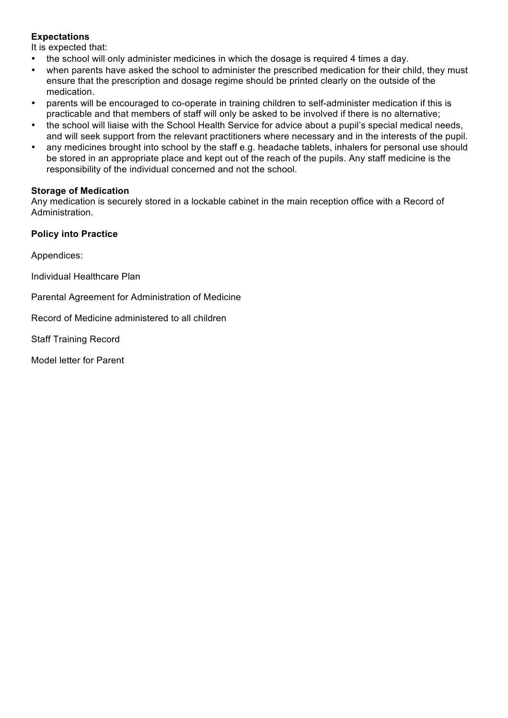# **Expectations**

It is expected that:

- the school will only administer medicines in which the dosage is required 4 times a day.
- when parents have asked the school to administer the prescribed medication for their child, they must ensure that the prescription and dosage regime should be printed clearly on the outside of the medication.
- parents will be encouraged to co-operate in training children to self-administer medication if this is practicable and that members of staff will only be asked to be involved if there is no alternative;
- the school will liaise with the School Health Service for advice about a pupil's special medical needs, and will seek support from the relevant practitioners where necessary and in the interests of the pupil.
- any medicines brought into school by the staff e.g. headache tablets, inhalers for personal use should be stored in an appropriate place and kept out of the reach of the pupils. Any staff medicine is the responsibility of the individual concerned and not the school.

### **Storage of Medication**

Any medication is securely stored in a lockable cabinet in the main reception office with a Record of Administration.

# **Policy into Practice**

Appendices:

Individual Healthcare Plan

Parental Agreement for Administration of Medicine

Record of Medicine administered to all children

Staff Training Record

Model letter for Parent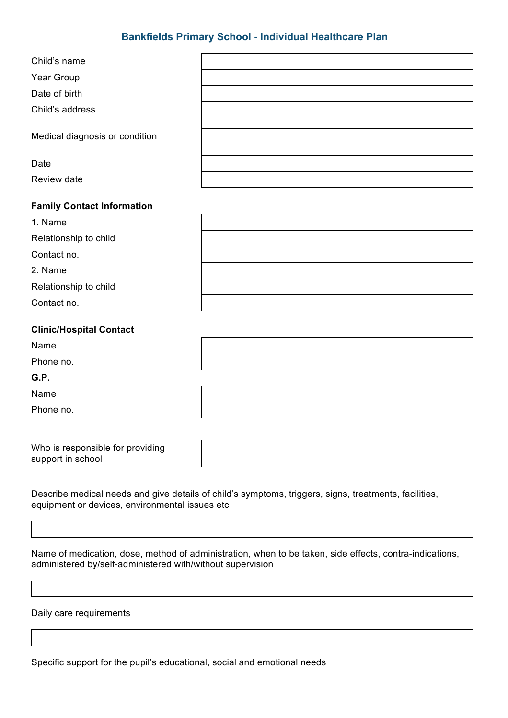# **Bankfields Primary School - Individual Healthcare Plan**

### **Family Contact Information**

| 1. Name               |  |
|-----------------------|--|
| Relationship to child |  |
| Contact no.           |  |
| 2. Name               |  |
| Relationship to child |  |
| Contact no.           |  |

### **Clinic/Hospital Contact**

| Name      |  |
|-----------|--|
| Phone no. |  |
| G.P.      |  |
| Name      |  |

Phone no.

Who is responsible for providing support in school

Describe medical needs and give details of child's symptoms, triggers, signs, treatments, facilities, equipment or devices, environmental issues etc

Name of medication, dose, method of administration, when to be taken, side effects, contra-indications, administered by/self-administered with/without supervision

Daily care requirements

Specific support for the pupil's educational, social and emotional needs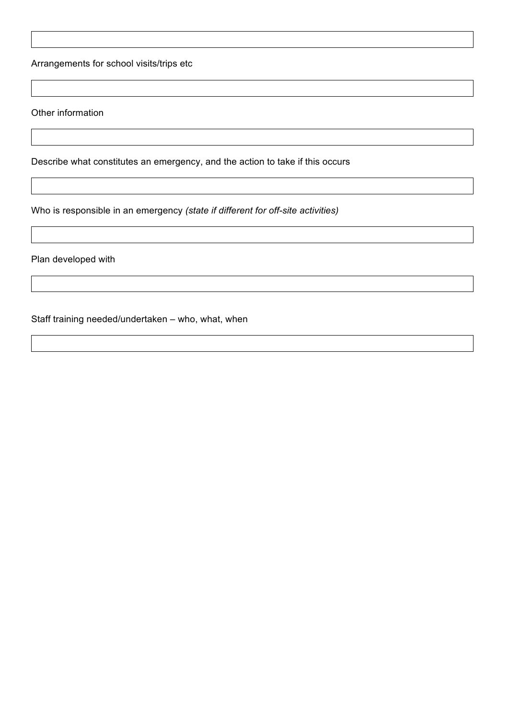Arrangements for school visits/trips etc

Other information

Describe what constitutes an emergency, and the action to take if this occurs

Who is responsible in an emergency *(state if different for off-site activities)*

Plan developed with

Staff training needed/undertaken – who, what, when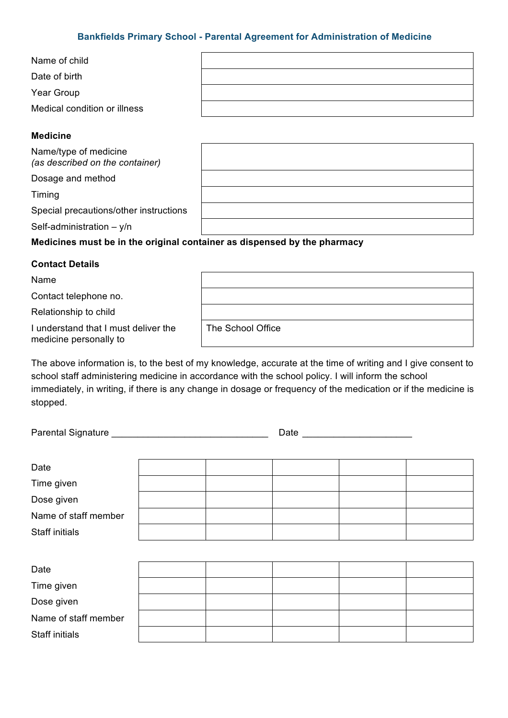### **Bankfields Primary School - Parental Agreement for Administration of Medicine**

| Name of child                |  |
|------------------------------|--|
| Date of birth                |  |
| Year Group                   |  |
| Medical condition or illness |  |

### **Medicine**

Name/type of medicine *(as described on the container)*

Dosage and method

Timing

Special precautions/other instructions

Self-administration – y/n

### **Medicines must be in the original container as dispensed by the pharmacy**

### **Contact Details**

| Name                                                           |                   |
|----------------------------------------------------------------|-------------------|
| Contact telephone no.                                          |                   |
| Relationship to child                                          |                   |
| I understand that I must deliver the<br>medicine personally to | The School Office |

The above information is, to the best of my knowledge, accurate at the time of writing and I give consent to school staff administering medicine in accordance with the school policy. I will inform the school immediately, in writing, if there is any change in dosage or frequency of the medication or if the medicine is stopped.

Parental Signature \_\_\_\_\_\_\_\_\_\_\_\_\_\_\_\_\_\_\_\_\_\_\_\_\_\_\_\_\_\_ Date \_\_\_\_\_\_\_\_\_\_\_\_\_\_\_\_\_\_\_\_\_

| Date                 |  |  |  |
|----------------------|--|--|--|
| Time given           |  |  |  |
| Dose given           |  |  |  |
| Name of staff member |  |  |  |
| Staff initials       |  |  |  |
|                      |  |  |  |
| Date                 |  |  |  |
| Time given           |  |  |  |
| Dose given           |  |  |  |
| Name of staff member |  |  |  |
|                      |  |  |  |

Staff initials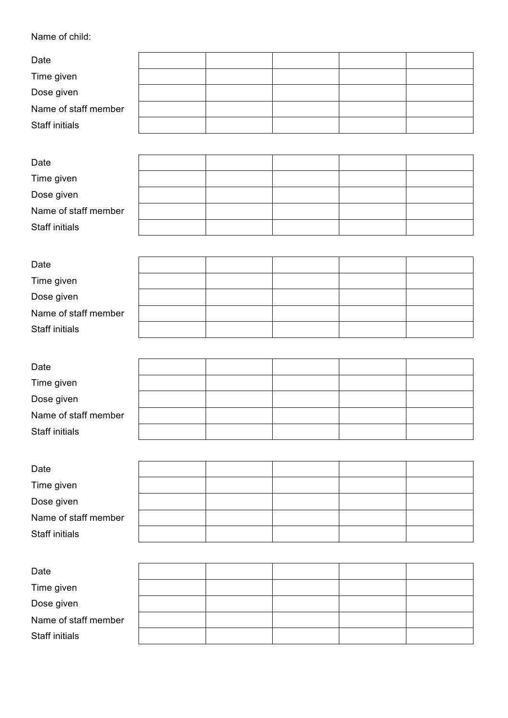# Name of child:

| Date                  |  |  |  |  |
|-----------------------|--|--|--|--|
| Time given            |  |  |  |  |
| Dose given            |  |  |  |  |
| Name of staff member  |  |  |  |  |
| Staff initials        |  |  |  |  |
|                       |  |  |  |  |
| Date                  |  |  |  |  |
| Time given            |  |  |  |  |
| Dose given            |  |  |  |  |
| Name of staff member  |  |  |  |  |
| <b>Staff initials</b> |  |  |  |  |
|                       |  |  |  |  |
| Date                  |  |  |  |  |
| Time given            |  |  |  |  |
| Dose given            |  |  |  |  |
| Name of staff member  |  |  |  |  |
| Staff initials        |  |  |  |  |
|                       |  |  |  |  |
| Date                  |  |  |  |  |
| Time given            |  |  |  |  |
| Dose given            |  |  |  |  |
| Name of staff member  |  |  |  |  |
| Staff initials        |  |  |  |  |
|                       |  |  |  |  |
| Date                  |  |  |  |  |
| Time given            |  |  |  |  |
| Dose given            |  |  |  |  |
| Name of staff member  |  |  |  |  |
| <b>Staff initials</b> |  |  |  |  |
|                       |  |  |  |  |
| Date                  |  |  |  |  |
| Time given            |  |  |  |  |
| Dose given            |  |  |  |  |
| Name of staff member  |  |  |  |  |
| <b>Staff initials</b> |  |  |  |  |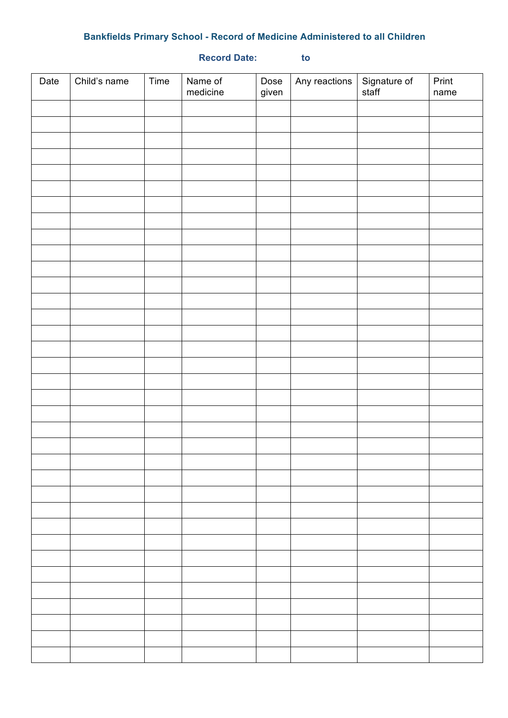# **Bankfields Primary School - Record of Medicine Administered to all Children**

# Date  $|$  Child's name  $|$  Time  $|$  Name of medicine Dose given Any reactions Signature of staff Print name

### **Record Date: to**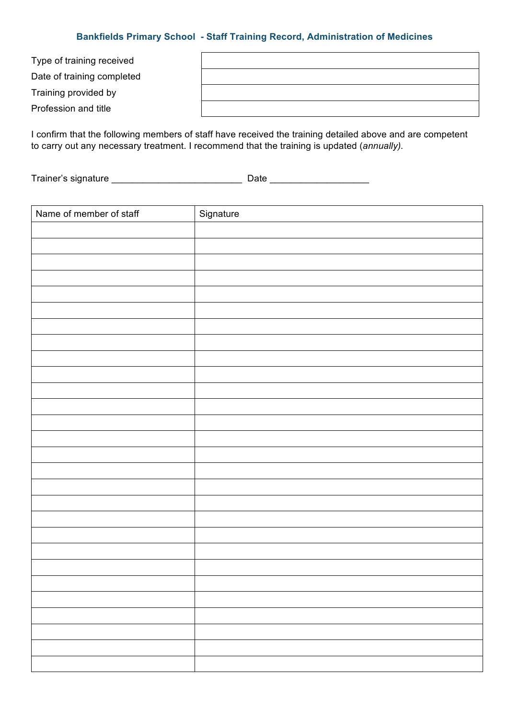### **Bankfields Primary School - Staff Training Record, Administration of Medicines**

| Type of training received  |  |
|----------------------------|--|
| Date of training completed |  |
| Training provided by       |  |
| Profession and title       |  |

I confirm that the following members of staff have received the training detailed above and are competent to carry out any necessary treatment. I recommend that the training is updated (*annually).*

Trainer's signature \_\_\_\_\_\_\_\_\_\_\_\_\_\_\_\_\_\_\_\_\_\_\_\_\_ Date \_\_\_\_\_\_\_\_\_\_\_\_\_\_\_\_\_\_\_

| Name of member of staff | Signature |
|-------------------------|-----------|
|                         |           |
|                         |           |
|                         |           |
|                         |           |
|                         |           |
|                         |           |
|                         |           |
|                         |           |
|                         |           |
|                         |           |
|                         |           |
|                         |           |
|                         |           |
|                         |           |
|                         |           |
|                         |           |
|                         |           |
|                         |           |
|                         |           |
|                         |           |
|                         |           |
|                         |           |
|                         |           |
|                         |           |
|                         |           |
|                         |           |
|                         |           |
|                         |           |